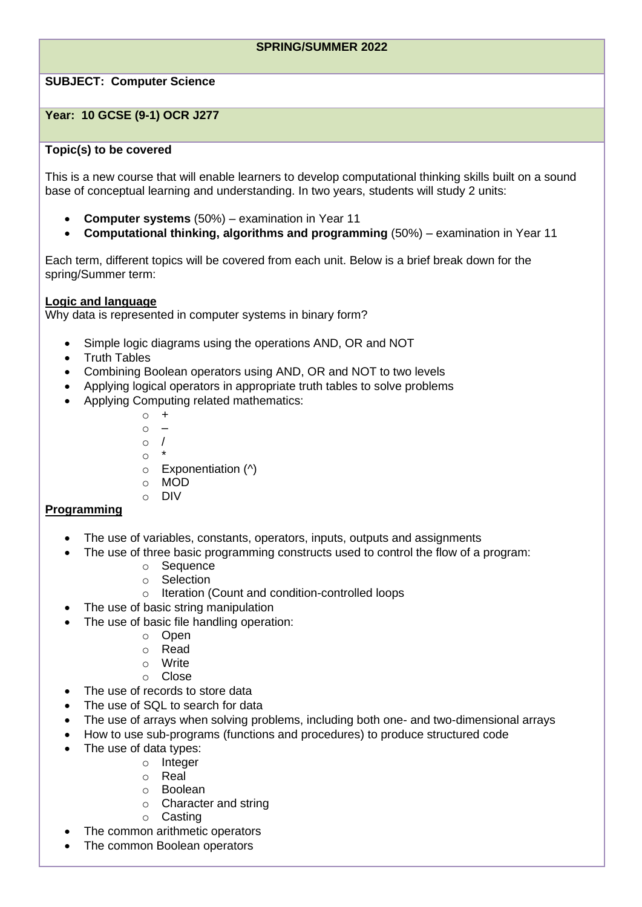## **SPRING/SUMMER 2022**

# **SUBJECT: Computer Science**

## **Year: 10 GCSE (9-1) OCR J277**

## **Topic(s) to be covered**

This is a new course that will enable learners to develop computational thinking skills built on a sound base of conceptual learning and understanding. In two years, students will study 2 units:

- **Computer systems** (50%) examination in Year 11
- **Computational thinking, algorithms and programming** (50%) examination in Year 11

Each term, different topics will be covered from each unit. Below is a brief break down for the spring/Summer term:

#### **Logic and language**

Why data is represented in computer systems in binary form?

- Simple logic diagrams using the operations AND, OR and NOT
- Truth Tables
- Combining Boolean operators using AND, OR and NOT to two levels
- Applying logical operators in appropriate truth tables to solve problems
- Applying Computing related mathematics:
	- $\circ$  +  $\circ$  – o /  $\circ$
	- $\circ$  Exponentiation ( $\land$ )
	- o MOD
	- o DIV

### **Programming**

- The use of variables, constants, operators, inputs, outputs and assignments
- The use of three basic programming constructs used to control the flow of a program:
	- o Sequence
	- o Selection
	- o Iteration (Count and condition-controlled loops
- The use of basic string manipulation
- The use of basic file handling operation:
	- o Open
	- o Read
	- o Write
	- o Close
- The use of records to store data
- The use of SQL to search for data
- The use of arrays when solving problems, including both one- and two-dimensional arrays
- How to use sub-programs (functions and procedures) to produce structured code
- The use of data types:
	- o Integer
	- o Real
	- o Boolean
	- o Character and string
	- o Casting
- The common arithmetic operators
- The common Boolean operators